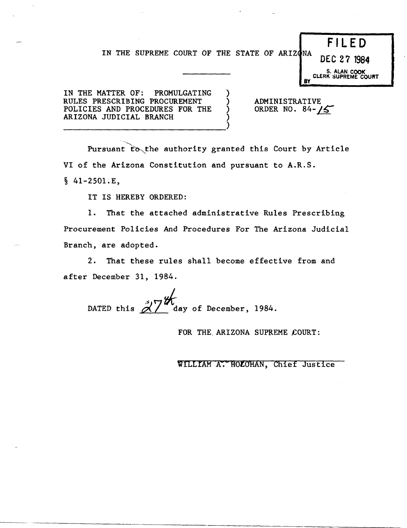## IN THE SUPREME COURT OF THE STATE OF ARIZONA

) ) ) ) **DEC 27 1984** 

S. ALAN COOK<br>CLERK SUPREME COURT

F I LED

IN THE MATTER OF: PROMULGATING RULES PRESCRIBING PROCUREMENT POLICIES AND PROCEDURES FOR THE ARIZONA JUDICIAL BRANCH ------------------------------)

ADMINISTRATIVE ORDER NO. 84- $/5$ 

**BY** 

Pursuant to the authority granted this Court by Article VI of the Arizona Constitution and pursuant to A.R.S.

 $§$  41-2501.E,

IT IS HEREBY ORDERED:

1. That the attached administrative Rules Prescribing Procurement Policies And Procedures For The Arizona Judicial Branch, are adopted.

2. That these rules shall become effective from and after December 31, 1984.

DATED this  $\frac{\partial \mathcal{U}}{\partial u}$  day of December, 1984.

FOR THE ARIZONA SUPREME COURT:

WILLIAM A. HOLOHAN, Chief Justice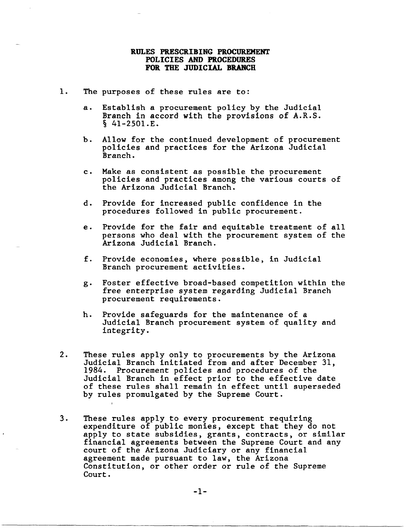## RULES PRESCRIBING PROCUREMENT POLICIES AND PROCEDURES FOR THE JUDICIAL BRANCH

- 1. The purposes of these rules are to:
	- a. Establish a procurement policy by the Judicial Branch in accord with the provisions of A.R.S.  $\S$  41-2501.E.
	- b. Allow for the continued development of procurement policies and practices for the Arizona Judicial Branch.
	- c. Make as consistent as possible the procurement policies and practices among the various courts of the Arizona Judicial Branch.
	- d. Provide for increased public confidence in the procedures followed in public procurement.
	- e. Provide for the fair and equitable treatment of all persons who deal with the procurement system of the Arizona Judicial Branch.
	- f. Provide economies, where possible, in Judicial Branch procurement activities.
	- g. Foster effective broad-based competition within the free enterprise system regarding Judicial Branch procurement requirements.
	- h. Provide safeguards for the maintenance of a Judicial Branch procurement system of quality and integrity.
- 2. These rules apply only to procurements by the Arizona Judicial Branch initiated from and after December 31, 1984. Procurement policies and procedures of the Judicial Branch in effect prior to the effective date of these rules shall remain in effect until superseded by rules promulgated by the Supreme Court.
- 3. These rules apply to every procurement requiring expenditure of public monies, except that they do not apply to state subsidies, grants, contracts, or similar financial agreements between the Supreme Court and any court of the Arizona Judiciary or any financial agreement made pursuant to law, the Arizona Constitution, or other order or rule of the Supreme Court.

-1-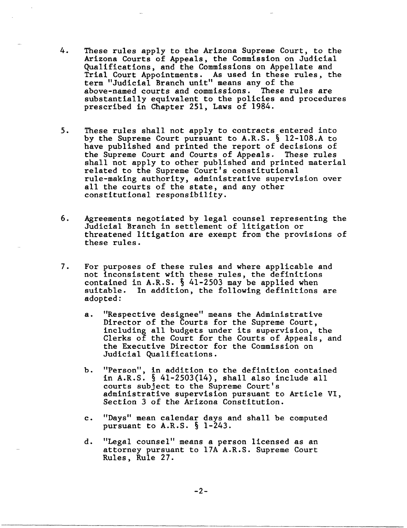- 4. These rules apply to the Arizona Supreme Court, to the Arizona Courts of Appeals, the Commission on Judicial Qualifications, and the Commissions on Appellate and Trial Court Appointments. As used in these rules, the term "Judicial Branch unit" means any of the above-named courts and commissions. These rules are substantially equivalent to the policies and procedures prescribed in Chapter 251, Laws of 1984.
- 5. These rules shall not apply to contracts entered into by the Supreme Court pursuant to A.R.S. § l2-l08.A to have published and printed the report of decisions of the Supreme Court and Courts of Appeals. These rules shall not apply to other published and printed material related to the Supreme Court's constitutional rule-making authority, administrative supervision over all the courts of the state, and any other constitutional responsibility.
- 6. Agreements negotiated by legal counsel representing the Judicial Branch in settlement of litigation or threatened litigation are exempt from the provisions of these rules.
- 7. For purposes of these rules and where applicable and not inconsistent with these rules, the definitions contained in A.R.S. § 41-2503 may be applied when suitable. In addition, the following definitions are adopted:
	- a. "Respective designee" means the Administrative Director of the Courts for the Supreme Court, including all budgets under its supervision, the Clerks of the Court for the Courts of Appeals, and the Executive Director for the Commission on Judicial Qualifications.
	- b. "Person", in addition to the definition contained in A.R.S. § 41-2503(14), shall also include all courts subject to the Supreme Court's administrative supervision pursuant to Article VI, Section 3 of the Arizona Constitution.
	- c. "Days" mean calendar days and shall be computed pursuant to A.R.S. § 1-243.
	- d. "Legal counsel" means a person licensed as an attorney pursuant to l7A A.R.S. Supreme Court Rules, Rule 27.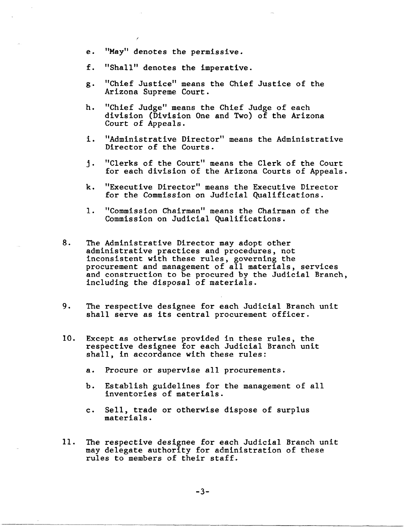- e. "May" denotes the permissive.
- f. "Shall" denotes the imperative.
- g. "Chief Justice" means the Chief Justice of the Arizona Supreme Court.
- h. "Chief Judge" means the Chief Judge of each division (Division One and Two) of the Arizona Court of Appeals.
- i. "Administrative Director" means the Administrative Director of the Courts.
- j. "Clerks of the Court" means the Clerk of the Court for each division of the Arizona Courts of Appeals.
- k. "Executive Director" means the Executive Director for the Commission on Judicial Qualifications.
- 1. "Commission Chairman" means the Chairman of the Commission on Judicial Qualifications.
- 8. The Administrative Director may adopt other administrative practices and procedures, not inconsistent with these rules, governing the procurement and management of all materials, services and construction to be procured by the Judicial Branch, including the disposal of materials.
- 9. The respective designee for each Judicial Branch unit shall serve as its central procurement officer.
- 10. Except as otherwise provided in these rules, the respective designee for each Judicial Branch unit shall, in accordance with these rules:
	- a. Procure or supervise all procurements.
	- h. Establish guidelines for the management of all inventories of materials.
	- c. Sell, trade or otherwise dispose of surplus materials.
- 11. The respective designee for each Judicial Branch unit may delegate authority for administration of these rules to members of their staff.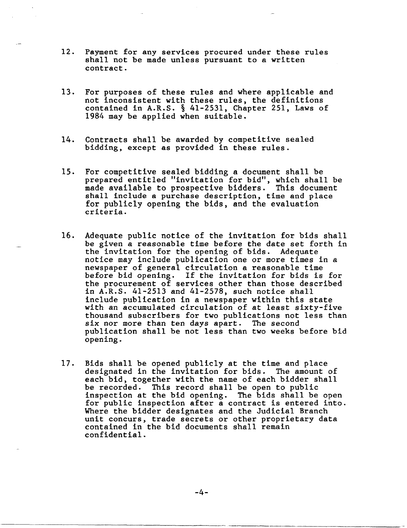- 12. Payment for any services procured under these rules shall not be made unless pursuant to a written contract.
- 13. For purposes of these rules and where applicable and not inconsistent with these rules, the definitions contained in A.R.S. § 41-2531, Chapter 251, Laws of 1984 may be applied when suitable.
- 14. Contracts shall be awarded by competitive sealed bidding, except as provided in these rules.
- 15. For competitive sealed bidding a document shall be prepared entitled "invitation for bid", which shall be made available to prospective bidders. This document shall include a purchase description, time and place for publicly opening the bids, and the evaluation criteria.
- 16. Adequate public notice of the invitation for bids shall be given a reasonable time before the date set forth in the invitation for the opening of bids. Adequate notice may include publication one or more times in a newspaper of general circulation a reasonable time before bid opening. If the invitation for bids is for the procurement of services other than those described in A.R.S. 41-2513 and 41-2578, such notice shall include publication in a newspaper within this state with an accumulated circulation of at least sixty-five thousand subscribers for two publications not less than six nor more than ten days apart. The second publication shall be not less than two weeks before bid opening.
- 17. Bids shall be opened publicly at the time and place designated in the invitation for bids. The amount of each bid, together with the name of each bidder shall be recorded. This record shall be open to public inspection at the bid opening. The bids shall be open for public inspection after a contract is entered into. Where the bidder designates and the Judicial Branch unit concurs, trade secrets or other proprietary data contained in the bid documents shall remain confidential.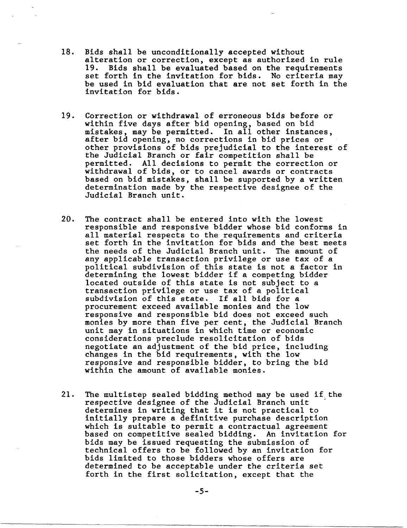- 18. Bids shall be unconditionally accepted without alteration or correction, except as authorized in rule 19. Bids shall be evaluated based on the requirements set forth in the invitation for bids. No criteria may be used in bid evaluation that are not set forth in the invitation for bids.
- 19. Correction or withdrawal of erroneous bids before or within five days after bid opening, based on bid mistakes, may be permitted. In all other instances, after bid opening, no corrections in bid prices or other provisions of bids prejudicial to the interest of the Judicial Branch or fair competition shall be permitted. All decisions to permit the correction or withdrawal of bids, or to cancel awards or contracts based on bid mistakes, shall be supported by a written determination made by the respective designee of the Judicial Branch unit.
- 20. The contract shall be entered into with the lowest responsible and responsive bidder whose bid conforms in all material respects to the requirements and criteria set forth in the invitation for bids and the best meets the needs of the Judicial Branch unit. The amount of any applicable transaction privilege or use tax of a political subdivision of this state is not a factor in determining the lowest bidder if a competing bidder located outside of this state is not subject to a transaction privilege or use tax of a political subdivision of this state. If all bids for a procurement exceed available monies and the low responsive and responsible bid does not exceed such monies by more than five per cent, the Judicial Branch unit may in situations in which time or economic considerations preclude resolicitation of bids negotiate an adjustment of the bid price, including changes in the bid requirements, with the low responsive and responsible bidder, to bring the bid within the amount of available monies.
- 21. The multistep sealed bidding method may be used if the respective designee of the Judicial Branch unit determines in writing that it is not practical to initially prepare a definitive purchase description which is suitable to permit a contractual agreement based on competitive sealed bidding. An invitation for bids may be issued requesting the submission of technical offers to be followed by an invitation for bids limited to those bidders whose offers are determined to be acceptable under the criteria set forth in the first solicitation, except that the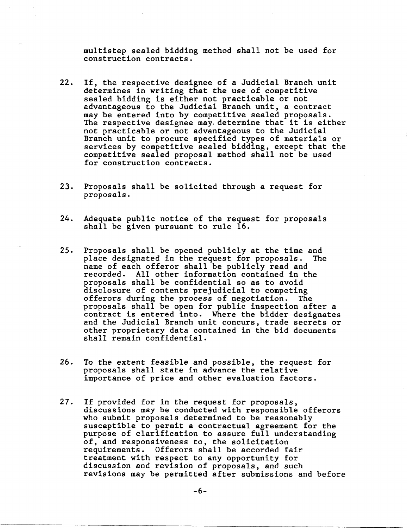multistep sealed bidding method shall not be used for construction contracts.

- 22. If, the respective designee of a Judicial Branch unit determines in writing that the use of competitive sealed bidding is either not practicable or not advantageous to the Judicial Branch unit, a contract may be entered into by competitive sealed proposals. The respective designee may. determine that it is either not practicable or not advantageous to the Judicial Branch unit to procure specified types of materials or services by competitive sealed bidding, except that the competitive sealed proposal method shall not be used for construction contracts.
- 23. Proposals shall be solicited through a request for proposals.
- 24. Adequate public notice of the request for proposals shall be given pursuant to rule 16.
- 25. Proposals shall be opened publicly at the time and place designated in the request for proposals. name of each offeror shall be publicly read and recorded. All other information contained in the proposals shall be confidential so as to avoid disclosure of contents prejudicial to competing offerors during the process of negotiation. The proposals shall be open for public inspection after a contract is entered into. Where the bidder designates and the Judicial Branch unit concurs, trade secrets or other proprietary data contained in the bid documents shall remain confidential.
- 26. To the extent feasible and possible, the request for proposals shall state in advance the relative importance of price and other evaluation factors.
- 27. If provided for in the request for proposals, discussions may be conducted with responsible offerors who submit proposals determined to be reasonably susceptible to permit a contractual agreement for the purpose of clarification to assure full understanding of, and responsiveness to, the solicitation requirements. Offerors shall be accorded fair treatment with respect to any opportunity for discussion and revision of proposals, and such revisions may be permitted after submissions and before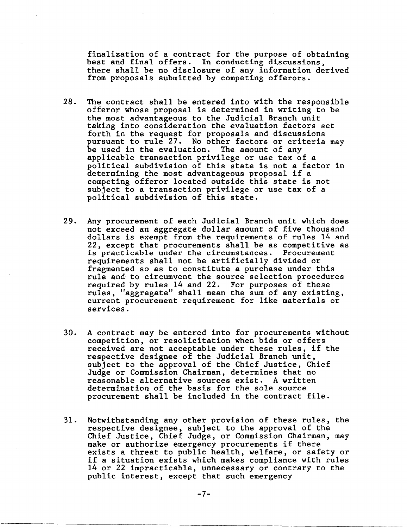finalization of a contract for the purpose of obtaining best and final offers. In conducting discussions, there shall be no disclosure of any information derived from proposals submitted by competing offerors.

- 28. The contract shall be entered into with the responsible offeror whose proposal is determined in writing to be the most advantageous to the Judicial Branch unit taking into consideration the evaluation factors set forth in the request for proposals and discussions pursuant to rule 27. No other factors or criteria may<br>be used in the evaluation. The amount of any be used in the evaluation. applicable transaction privilege or use tax of a political subdivision of this state is not a factor in determining the most advantageous proposal if a competing offeror located outside this state is not subject to a transaction privilege or use tax of a political subdivision of this state.
- 29. Any procurement of each Judicial Branch unit which does not exceed an aggregate dollar amount of five thousand dollars is exempt from the requirements of rules 14 and 22, except that procurements shall be as competitive as is practicable under the circumstances. Procurement requirements shall not be artificially divided or fragmented so as to constitute a purchase under this rule and to circumvent the source selection procedures required by rules 14 and 22. For purposes of these rules, "aggregate" shall mean the sum of any existing, current procurement requirement for like materials or services.
- 30. A contract may be entered into for procurements without competition, or resolicitation when bids or offers received are not acceptable under these rules, if the respective designee of the Judicial Branch unit, subject to the approval of the Chief Justice, Chief Judge or Commission Chairman, determines that no reasonable alternative sources exist. A written determination of the basis for the sole source procurement shall be included in the contract file.
- 31. Notwithstanding any other provision of these rules, the respective designee, subject to the approval of the Chief Justice, Chief Judge, or Commission Chairman, may make or authorize emergency procurements if there exists a threat to public health, welfare, or safety or if a situation exists which makes compliance with rules 14 or 22 impracticable, unnecessary or contrary to the public interest, except that such emergency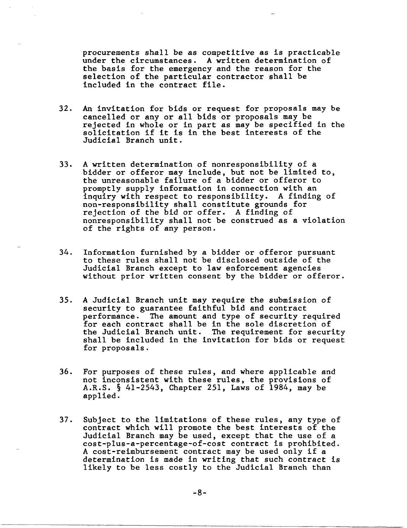procurements shall be as competitive as is practicable under the circumstances. A written determination of the basis for the emergency and the reason for the selection of the particular contractor shall be included in the contract file.

- 32. An invitation for bids or request for proposals may be cancelled or any or all bids or proposals may be rejected in whole or in part as may be specified in the solicitation if it is in the best interests of the Judicial Branch unit.
- 33. A written determination of nonresponsibility of a bidder or offeror may include, but not be limited *to,*  the unreasonable failure of a bidder or offeror to promptly supply information in connection with an inquiry with respect to responsibility. A finding of non-responsibility shall constitute grounds for rejection of the bid or offer. A finding of nonresponsibility shall not be construed as a violation of the rights of any person.
- 34. Information furnished by a bidder or offeror pursuant to these rules shall not be disclosed outside of the Judicial Branch except to law enforcement agencies without prior written consent by the bidder or offeror.
- 35. A Judicial Branch unit may require the submission of security to guarantee faithful bid and contract performance. The amount and type of security required for each contract shall be in the sole discretion of the Judicial Branch unit. The requirement for security shall be included in the invitation for bids or request for proposals.
- 36. For purposes of these rules, and where applicable and not inconsistent with these rules, the provisions of A.R.S. § 41-2543, Chapter 251, Laws of 1984, may be applied.
- 37. Subject to the limitations of these rules, any type of contract which will promote the best interests of the Judicial Branch may be used, except that the use of a cost-plus-a-percentage-of-cost contract is prohibited. A cost-reimbursement contract may be used only if a determination is made in writing that such contract is likely to be less costly to the Judicial Branch than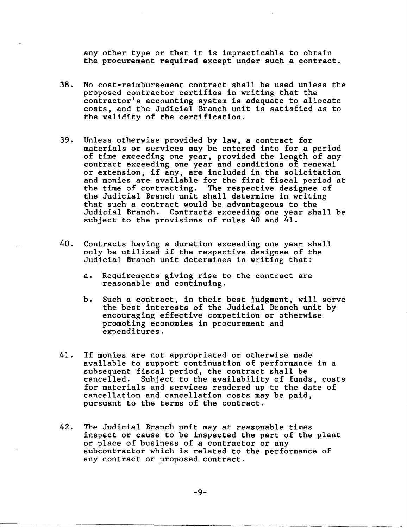any other type or that it is impracticable to obtain the procurement required except under such a contract.

- 38. No cost-reimbursement contract shall be used unless the proposed contractor certifies in writing that the contractor's accounting system is adequate to allocate costs, and the Judicial Branch unit is satisfied as to the validity of the certification.
- 39. Unless otherwise provided by law, a contract for materials or services may be entered into for a period of time exceeding one year, provided the length of any contract exceeding one year and conditions of renewal or extension, if any, are included in the solicitation and monies are available for the first fiscal period at the time of contracting. The respective designee of the Judicial Branch unit shall determine in writing that such a contract would be advantageous to the Judicial Branch. Contracts exceeding one year shall be subject to the provisions of rules 40 and 41.
- 40. Contracts having a duration exceeding one year shall only be utilized if the respective designee of the Judicial Branch unit determines in writing that:
	- a. Requirements giving rise to the contract are reasonable and continuing.
	- b. Such a contract, in their best judgment, will serve the best interests of the Judicial Branch unit by encouraging effective competition or otherwise promoting economies in procurement and expenditures.
- 41. If monies are not appropriated or otherwise made available to support continuation of performance in a subsequent fiscal period, the contract shall be cancelled. Subject to the availability of funds, costs for materials and services rendered up to the date of cancellation and cancellation costs may be paid, pursuant to the terms of the contract.
- 42. The Judicial Branch unit may at reasonable times inspect or cause to be inspected the part of the plant or place of business of a contractor or any subcontractor which is related to the performance of any contract or proposed contract.

-9-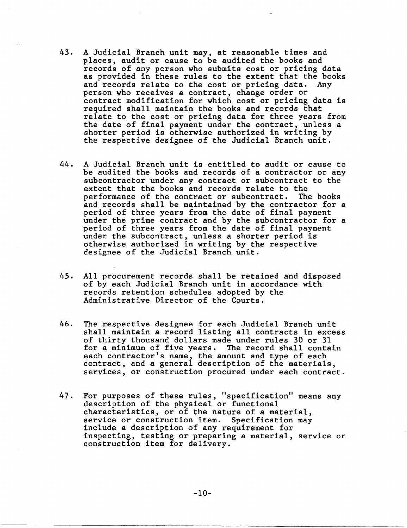- 43. A Judicial Branch unit may, at reasonable times and places, audit or cause to be audited the books and records of any person who submits cost or pricing data as provided in these rules to the extent that the books and records relate to the cost or pricing data. Any and records relate to the cost or pricing data. person who receives a contract, change order or contract modification for which cost or pricing data is required shall maintain the books and records that relate to the cost or pricing data for three years from the date of final payment under the contract, unless a shorter period is otherwise authorized in writing by the respective designee of the Judicial Branch unit.
- 44. A Judicial Branch unit is entitled to audit or cause to be audited the books and records of a contractor or any subcontractor under any contract or subcontract to the extent that the books and records relate to the performance of the contract or subcontract. The books and records shall be maintained by the contractor for a period of three years from the date of final payment under the prime contract and by the subcontractor for a period of three years from the date of final payment under the subcontract, unless a shorter period is otherwise authorized in writing by the respective designee of the Judicial Branch unit.
- 45. All procurement records shall be retained and disposed of by each Judicial Branch unit in accordance with records retention schedules adopted by the Administrative Director of the Courts.
- 46. The respective designee for each Judicial Branch unit shall maintain a record listing all contracts in excess of thirty thousand dollars made under rules 30 or 31 for a minimum of five years. The record shall contain each contractor's name, the amount and type of each contract, and a general description of the materials, services, or construction procured under each contract.
- 47. For purposes of these rules, "specification" means any description of the physical or functional characteristics, or of the nature of a material, service or construction item. Specification may include a description of any requirement for inspecting, testing or preparing a material, service or construction item for delivery.